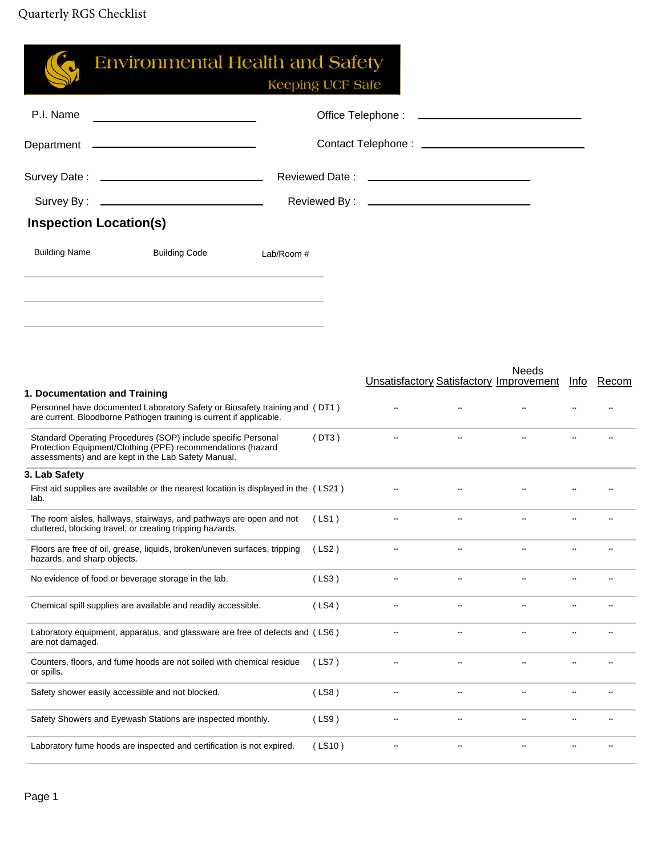| 3. Lab Safety<br>lab.<br>hazards, and sharp objects.<br>are not damaged.<br>or spills.<br>Safety shower easily accessible and not blocked. | First aid supplies are available or the nearest location is displayed in the (LS21)<br>The room aisles, hallways, stairways, and pathways are open and not<br>cluttered, blocking travel, or creating tripping hazards.<br>Floors are free of oil, grease, liquids, broken/uneven surfaces, tripping<br>No evidence of food or beverage storage in the lab.<br>Chemical spill supplies are available and readily accessible.<br>Laboratory equipment, apparatus, and glassware are free of defects and (LS6)<br>Counters, floors, and fume hoods are not soiled with chemical residue<br>Safety Showers and Eyewash Stations are inspected monthly. |            | (LS1)<br>(LS2)<br>(LS3)<br>(LS4)<br>(LS7)<br>(LS8)<br>(LS9) | $\ddots$<br><b>Section</b><br>$\cdot \cdot$<br>$\cdot$<br>$\cdot$ .<br>$\cdot$<br>$\ddotsc$<br>$\ddot{\phantom{0}}$<br>$\cdot$ . | $\ddots$<br>$\ddots$<br>$\cdot$ .<br>$\cdot$ .<br>$\ddot{\phantom{0}}$<br>$\ddotsc$ | $\ddots$<br>$\cdot \cdot$                                                                                                                                                                                                      | $\ddotsc$<br>$\ddot{\phantom{0}}$ |  |
|--------------------------------------------------------------------------------------------------------------------------------------------|-----------------------------------------------------------------------------------------------------------------------------------------------------------------------------------------------------------------------------------------------------------------------------------------------------------------------------------------------------------------------------------------------------------------------------------------------------------------------------------------------------------------------------------------------------------------------------------------------------------------------------------------------------|------------|-------------------------------------------------------------|----------------------------------------------------------------------------------------------------------------------------------|-------------------------------------------------------------------------------------|--------------------------------------------------------------------------------------------------------------------------------------------------------------------------------------------------------------------------------|-----------------------------------|--|
|                                                                                                                                            |                                                                                                                                                                                                                                                                                                                                                                                                                                                                                                                                                                                                                                                     |            |                                                             |                                                                                                                                  |                                                                                     |                                                                                                                                                                                                                                |                                   |  |
|                                                                                                                                            |                                                                                                                                                                                                                                                                                                                                                                                                                                                                                                                                                                                                                                                     |            |                                                             |                                                                                                                                  |                                                                                     |                                                                                                                                                                                                                                |                                   |  |
|                                                                                                                                            |                                                                                                                                                                                                                                                                                                                                                                                                                                                                                                                                                                                                                                                     |            |                                                             |                                                                                                                                  |                                                                                     |                                                                                                                                                                                                                                |                                   |  |
|                                                                                                                                            |                                                                                                                                                                                                                                                                                                                                                                                                                                                                                                                                                                                                                                                     |            |                                                             |                                                                                                                                  |                                                                                     |                                                                                                                                                                                                                                |                                   |  |
|                                                                                                                                            |                                                                                                                                                                                                                                                                                                                                                                                                                                                                                                                                                                                                                                                     |            |                                                             |                                                                                                                                  |                                                                                     |                                                                                                                                                                                                                                |                                   |  |
|                                                                                                                                            |                                                                                                                                                                                                                                                                                                                                                                                                                                                                                                                                                                                                                                                     |            |                                                             |                                                                                                                                  |                                                                                     |                                                                                                                                                                                                                                |                                   |  |
|                                                                                                                                            |                                                                                                                                                                                                                                                                                                                                                                                                                                                                                                                                                                                                                                                     |            |                                                             |                                                                                                                                  |                                                                                     |                                                                                                                                                                                                                                |                                   |  |
|                                                                                                                                            |                                                                                                                                                                                                                                                                                                                                                                                                                                                                                                                                                                                                                                                     |            |                                                             |                                                                                                                                  |                                                                                     |                                                                                                                                                                                                                                |                                   |  |
|                                                                                                                                            |                                                                                                                                                                                                                                                                                                                                                                                                                                                                                                                                                                                                                                                     |            |                                                             |                                                                                                                                  |                                                                                     |                                                                                                                                                                                                                                |                                   |  |
|                                                                                                                                            | Standard Operating Procedures (SOP) include specific Personal<br>Protection Equipment/Clothing (PPE) recommendations (hazard<br>assessments) and are kept in the Lab Safety Manual.                                                                                                                                                                                                                                                                                                                                                                                                                                                                 |            | (DT3)                                                       | $\ddots$                                                                                                                         | $\ddots$                                                                            | $\ldots$                                                                                                                                                                                                                       |                                   |  |
|                                                                                                                                            | Personnel have documented Laboratory Safety or Biosafety training and (DT1)<br>are current. Bloodborne Pathogen training is current if applicable.                                                                                                                                                                                                                                                                                                                                                                                                                                                                                                  |            |                                                             | $\ddots$                                                                                                                         |                                                                                     |                                                                                                                                                                                                                                |                                   |  |
| 1. Documentation and Training                                                                                                              |                                                                                                                                                                                                                                                                                                                                                                                                                                                                                                                                                                                                                                                     |            |                                                             |                                                                                                                                  |                                                                                     | <b>Needs</b><br>Unsatisfactory Satisfactory Improvement Info Recom                                                                                                                                                             |                                   |  |
|                                                                                                                                            |                                                                                                                                                                                                                                                                                                                                                                                                                                                                                                                                                                                                                                                     |            |                                                             |                                                                                                                                  |                                                                                     |                                                                                                                                                                                                                                |                                   |  |
|                                                                                                                                            |                                                                                                                                                                                                                                                                                                                                                                                                                                                                                                                                                                                                                                                     |            |                                                             |                                                                                                                                  |                                                                                     |                                                                                                                                                                                                                                |                                   |  |
|                                                                                                                                            |                                                                                                                                                                                                                                                                                                                                                                                                                                                                                                                                                                                                                                                     |            |                                                             |                                                                                                                                  |                                                                                     |                                                                                                                                                                                                                                |                                   |  |
| <b>Building Name</b>                                                                                                                       | <b>Building Code</b>                                                                                                                                                                                                                                                                                                                                                                                                                                                                                                                                                                                                                                | Lab/Room # |                                                             |                                                                                                                                  |                                                                                     |                                                                                                                                                                                                                                |                                   |  |
| <b>Inspection Location(s)</b>                                                                                                              |                                                                                                                                                                                                                                                                                                                                                                                                                                                                                                                                                                                                                                                     |            |                                                             |                                                                                                                                  |                                                                                     |                                                                                                                                                                                                                                |                                   |  |
|                                                                                                                                            |                                                                                                                                                                                                                                                                                                                                                                                                                                                                                                                                                                                                                                                     |            |                                                             |                                                                                                                                  |                                                                                     |                                                                                                                                                                                                                                |                                   |  |
|                                                                                                                                            |                                                                                                                                                                                                                                                                                                                                                                                                                                                                                                                                                                                                                                                     |            |                                                             |                                                                                                                                  |                                                                                     |                                                                                                                                                                                                                                |                                   |  |
|                                                                                                                                            |                                                                                                                                                                                                                                                                                                                                                                                                                                                                                                                                                                                                                                                     |            |                                                             |                                                                                                                                  |                                                                                     |                                                                                                                                                                                                                                |                                   |  |
|                                                                                                                                            |                                                                                                                                                                                                                                                                                                                                                                                                                                                                                                                                                                                                                                                     |            |                                                             |                                                                                                                                  |                                                                                     |                                                                                                                                                                                                                                |                                   |  |
| P.I. Name                                                                                                                                  |                                                                                                                                                                                                                                                                                                                                                                                                                                                                                                                                                                                                                                                     |            |                                                             |                                                                                                                                  |                                                                                     | Office Telephone : \\\espice \\\espice \\espice \\espice \\espice \\espice \\espice \\espice \\espice \\espice \\espice \\espice \\espice \\espice \\espice \\espice \\espice \\espice \\espice \\espice \\espice \\espice \\e |                                   |  |
|                                                                                                                                            | <b>Environmental Health and Safety</b>                                                                                                                                                                                                                                                                                                                                                                                                                                                                                                                                                                                                              |            | <b>Keeping UCF Safe</b>                                     |                                                                                                                                  |                                                                                     |                                                                                                                                                                                                                                |                                   |  |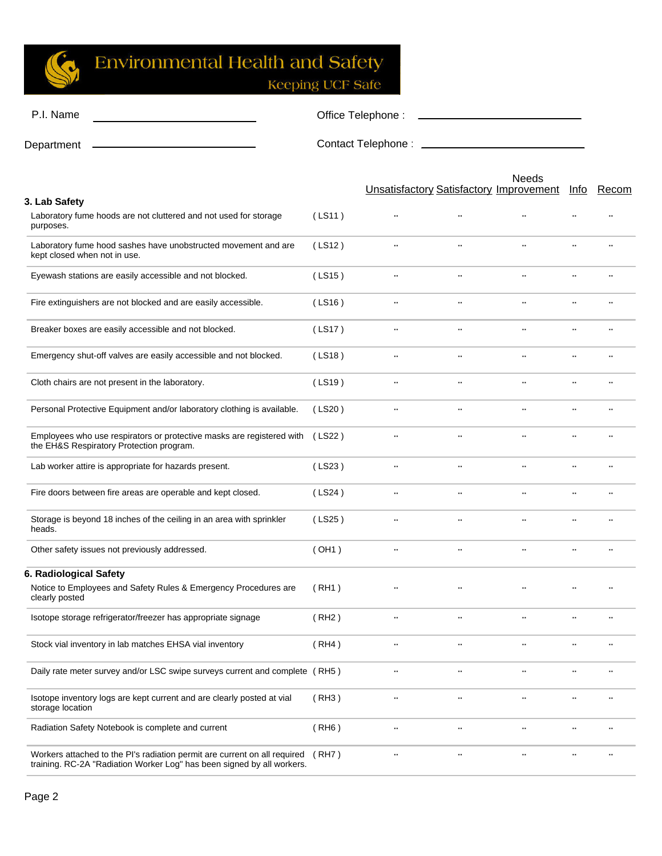

## **Environmental Health and Safety**

Keeping UCF Safe

| P.I. Name                                                                                                                                           | Office Telephone: |                                                |                      |                      |               |       |  |
|-----------------------------------------------------------------------------------------------------------------------------------------------------|-------------------|------------------------------------------------|----------------------|----------------------|---------------|-------|--|
| Department                                                                                                                                          |                   |                                                |                      |                      |               |       |  |
|                                                                                                                                                     |                   | <b>Unsatisfactory Satisfactory Improvement</b> |                      | <b>Needs</b>         | <u>Info</u>   | Recom |  |
| 3. Lab Safety<br>Laboratory fume hoods are not cluttered and not used for storage<br>purposes.                                                      | (LS11)            | $\ddotsc$                                      | $\ddotsc$            |                      |               |       |  |
| Laboratory fume hood sashes have unobstructed movement and are<br>kept closed when not in use.                                                      | (LS12)            | $\ldots$                                       | $\ddotsc$            |                      |               |       |  |
| Eyewash stations are easily accessible and not blocked.                                                                                             | (LS15)            | $\ldots$                                       | $\ldots$             | $\ldots$             | $\cdot \cdot$ |       |  |
| Fire extinguishers are not blocked and are easily accessible.                                                                                       | (LS16)            | $\ldots$                                       | $\ldots$             | $\ldots$             | $\ldots$      |       |  |
| Breaker boxes are easily accessible and not blocked.                                                                                                | (LS17)            | $\cdot \cdot$                                  | $\ldots$             | $\ddotsc$            | $\cdot \cdot$ |       |  |
| Emergency shut-off valves are easily accessible and not blocked.                                                                                    | (LS18)            | $\ldots$                                       | $\ldots$             | $\ddotsc$            | $\ldots$      |       |  |
| Cloth chairs are not present in the laboratory.                                                                                                     | (LS19)            | $\cdot$ .                                      | $\ddotsc$            | $\ddotsc$            |               |       |  |
| Personal Protective Equipment and/or laboratory clothing is available.                                                                              | (LS20)            | $\cdot$ .                                      | $\ldots$             | $\ddotsc$            | $\cdot\cdot$  |       |  |
| Employees who use respirators or protective masks are registered with<br>the EH&S Respiratory Protection program.                                   | (LS22)            | $\ddotsc$                                      | $\ddot{\phantom{0}}$ |                      |               |       |  |
| Lab worker attire is appropriate for hazards present.                                                                                               | (LS23)            | $\ldots$                                       | $\ddotsc$            | $\ddot{\phantom{0}}$ | $\ldots$      |       |  |
| Fire doors between fire areas are operable and kept closed.                                                                                         | (LS24)            | $\ddotsc$                                      | $\ddotsc$            |                      |               |       |  |
| Storage is beyond 18 inches of the ceiling in an area with sprinkler<br>heads.                                                                      | (LS25)            | $\cdot \cdot$                                  | $\ddot{\phantom{0}}$ |                      |               |       |  |
| Other safety issues not previously addressed.                                                                                                       | (OH1)             | $\ldots$                                       | $\ldots$             | $\ddotsc$            | $\ddotsc$     |       |  |
| 6. Radiological Safety<br>Notice to Employees and Safety Rules & Emergency Procedures are<br>clearly posted                                         | (RH1)             |                                                |                      |                      |               |       |  |
| Isotope storage refrigerator/freezer has appropriate signage                                                                                        | (RH2)             | $\cdot$ .                                      | $\cdot$ .            |                      |               |       |  |
| Stock vial inventory in lab matches EHSA vial inventory                                                                                             | (RH4)             | $\cdot$ .                                      | $\cdot$ .            | $\cdot$              | $\cdot$ .     |       |  |
| Daily rate meter survey and/or LSC swipe surveys current and complete (RH5)                                                                         |                   | $\cdot$ .                                      | $\cdot$ .            | $\cdot$ .            | $\cdot$ .     |       |  |
| Isotope inventory logs are kept current and are clearly posted at vial<br>storage location                                                          | (RH3)             | $\cdot \cdot$                                  | $\cdot$ .            | $\ddot{\phantom{0}}$ |               |       |  |
| Radiation Safety Notebook is complete and current                                                                                                   | (RH6)             | $\cdot$ .                                      | $\cdot$ .            | $\cdot \cdot$        |               |       |  |
| Workers attached to the PI's radiation permit are current on all required<br>training. RC-2A "Radiation Worker Log" has been signed by all workers. | (RH7)             | $\cdot$ .                                      | $\cdot$ .            | $\cdot$ .            |               |       |  |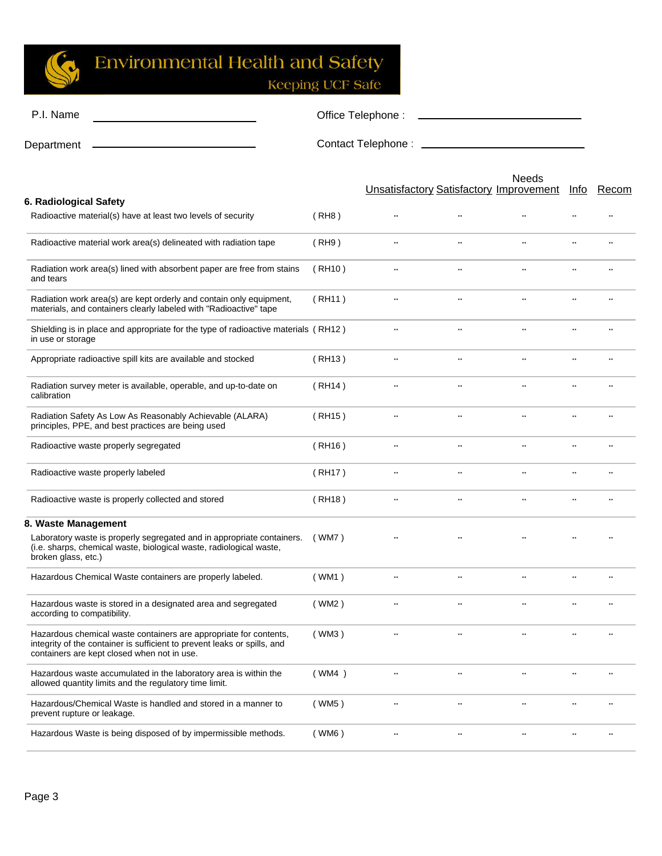

## **Environmental Health and Safety**

Keeping UCF Safe

| P.I. Name  | Office Telephone:  |
|------------|--------------------|
| Department | Contact Telephone: |

|                                                                                                                                                                                              |                     |                      |                           | <b>Needs</b><br><b>Unsatisfactory Satisfactory Improvement</b> | <u>Info</u>   | Recom     |
|----------------------------------------------------------------------------------------------------------------------------------------------------------------------------------------------|---------------------|----------------------|---------------------------|----------------------------------------------------------------|---------------|-----------|
| 6. Radiological Safety                                                                                                                                                                       |                     |                      |                           |                                                                |               |           |
| Radioactive material(s) have at least two levels of security                                                                                                                                 | (RH8)               | $\ddotsc$            | $\ddot{\phantom{0}}$      | $\ddotsc$                                                      | $\ddotsc$     | $\cdot$ . |
| Radioactive material work area(s) delineated with radiation tape                                                                                                                             | (RH9)               | $\ldots$             | $\ddotsc$                 | $\cdot \cdot$                                                  | $\cdot \cdot$ |           |
| Radiation work area(s) lined with absorbent paper are free from stains<br>and tears                                                                                                          | (RH10)              | $\cdot \cdot$        | $\ddot{\phantom{0}}$      | $\ddotsc$                                                      | $\ddotsc$     |           |
| Radiation work area(s) are kept orderly and contain only equipment,<br>materials, and containers clearly labeled with "Radioactive" tape                                                     | (RH11)              | $\ldots$             | $\ddot{\phantom{0}}$      | $\ddot{\phantom{a}}$                                           |               |           |
| Shielding is in place and appropriate for the type of radioactive materials (RH12)<br>in use or storage                                                                                      |                     | $\ldots$             | $\ddotsc$                 | $\ddotsc$                                                      | $\ddotsc$     | $\ddotsc$ |
| Appropriate radioactive spill kits are available and stocked                                                                                                                                 | (RH13)              | $\ldots$             | $\ddotsc$                 | $\ldots$                                                       | $\cdot \cdot$ |           |
| Radiation survey meter is available, operable, and up-to-date on<br>calibration                                                                                                              | (RH <sub>14</sub> ) | $\ddotsc$            | $\ddot{\phantom{0}}$      | $\cdot \cdot$                                                  | $\cdot$ .     |           |
| Radiation Safety As Low As Reasonably Achievable (ALARA)<br>principles, PPE, and best practices are being used                                                                               | (RH15)              | $\ldots$             | $\ddot{\phantom{0}}$      | $\ddotsc$                                                      |               |           |
| Radioactive waste properly segregated                                                                                                                                                        | (RH16)              | $\ldots$             | $\ddotsc$                 | $\ddotsc$                                                      | $\ddotsc$     | $\ddotsc$ |
| Radioactive waste properly labeled                                                                                                                                                           | (RH17)              | $\ddotsc$            | $\ddot{\phantom{0}}\cdot$ | $\ddotsc$                                                      | $\ddotsc$     |           |
| Radioactive waste is properly collected and stored                                                                                                                                           | (RH18)              | $\ddotsc$            | $\ddotsc$                 | $\ddot{\phantom{a}}$                                           | $\ddotsc$     |           |
| 8. Waste Management                                                                                                                                                                          |                     |                      |                           |                                                                |               |           |
| Laboratory waste is properly segregated and in appropriate containers.<br>(i.e. sharps, chemical waste, biological waste, radiological waste,<br>broken glass, etc.)                         | (WM7)               |                      |                           |                                                                |               |           |
| Hazardous Chemical Waste containers are properly labeled.                                                                                                                                    | (WM1)               | $\ddotsc$            | $\ddot{\phantom{0}}\cdot$ | $\ddot{\phantom{a}}$                                           | $\ddotsc$     |           |
| Hazardous waste is stored in a designated area and segregated<br>according to compatibility.                                                                                                 | (WM2)               | $\ldots$             | $\ddot{\phantom{0}}$      | $\ddot{\phantom{0}}$                                           |               |           |
| Hazardous chemical waste containers are appropriate for contents,<br>integrity of the container is sufficient to prevent leaks or spills, and<br>containers are kept closed when not in use. | (WM3)               | $\ddot{\phantom{0}}$ |                           |                                                                |               |           |
| Hazardous waste accumulated in the laboratory area is within the<br>allowed quantity limits and the regulatory time limit.                                                                   | (WM4)               | $\ddot{\phantom{0}}$ |                           |                                                                |               |           |
| Hazardous/Chemical Waste is handled and stored in a manner to<br>prevent rupture or leakage.                                                                                                 | (WM5)               | $\cdot$ .            | $\ddot{\phantom{0}}$      | $\cdot$ .                                                      | $\cdot$ .     |           |
| Hazardous Waste is being disposed of by impermissible methods.                                                                                                                               | (WM6)               | $\cdot$ .            | $\cdot$ .                 | $\cdot$ .                                                      | $\cdot$ .     |           |
|                                                                                                                                                                                              |                     |                      |                           |                                                                |               |           |